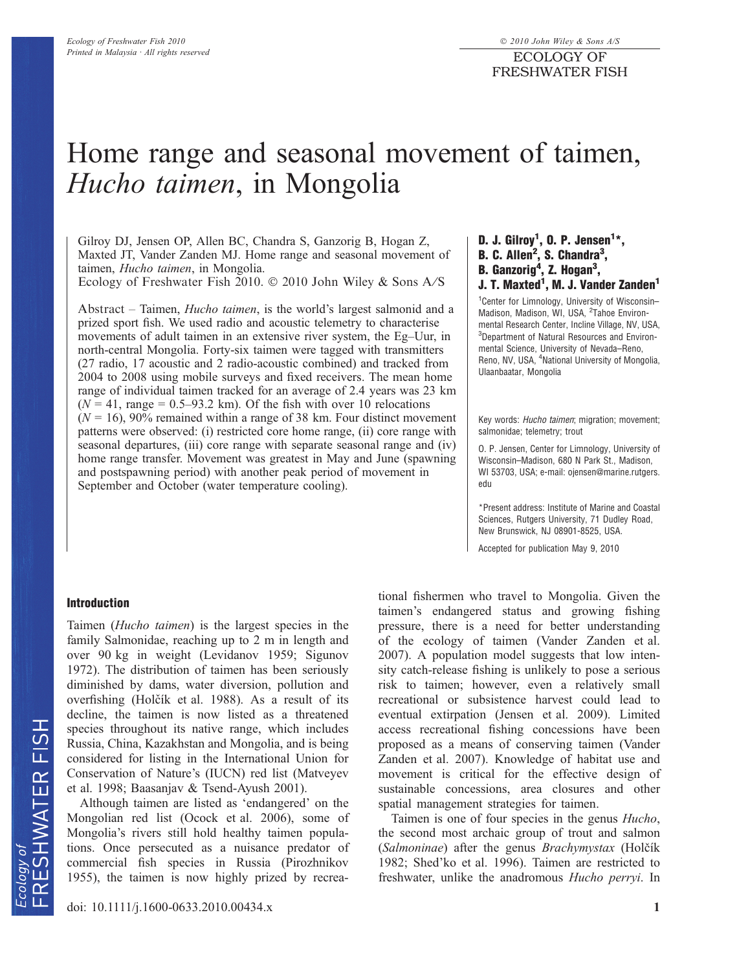# Home range and seasonal movement of taimen, Hucho taimen, in Mongolia

Gilroy DJ, Jensen OP, Allen BC, Chandra S, Ganzorig B, Hogan Z, Maxted JT, Vander Zanden MJ. Home range and seasonal movement of taimen, Hucho taimen, in Mongolia.

Ecology of Freshwater Fish 2010. © 2010 John Wiley & Sons A/S

Abstract – Taimen, Hucho taimen, is the world's largest salmonid and a prized sport fish. We used radio and acoustic telemetry to characterise movements of adult taimen in an extensive river system, the Eg–Uur, in north-central Mongolia. Forty-six taimen were tagged with transmitters (27 radio, 17 acoustic and 2 radio-acoustic combined) and tracked from 2004 to 2008 using mobile surveys and fixed receivers. The mean home range of individual taimen tracked for an average of 2.4 years was 23 km  $(N = 41$ , range = 0.5–93.2 km). Of the fish with over 10 relocations  $(N = 16)$ , 90% remained within a range of 38 km. Four distinct movement patterns were observed: (i) restricted core home range, (ii) core range with seasonal departures, (iii) core range with separate seasonal range and (iv) home range transfer. Movement was greatest in May and June (spawning and postspawning period) with another peak period of movement in September and October (water temperature cooling).

# D. J. Gilroy<sup>1</sup>, O. P. Jensen<sup>1</sup>\*, B. C. Allen<sup>2</sup>, S. Chandra<sup>3</sup>, B. Ganzorig<sup>4</sup>, Z. Hogan<sup>3</sup>, J. T. Maxted<sup>1</sup>, M. J. Vander Zanden<sup>1</sup>

1 Center for Limnology, University of Wisconsin– Madison, Madison, WI, USA, <sup>2</sup>Tahoe Environmental Research Center, Incline Village, NV, USA, 3 Department of Natural Resources and Environmental Science, University of Nevada–Reno, Reno, NV, USA, <sup>4</sup>National University of Mongolia, Ulaanbaatar, Mongolia

Key words: Hucho taimen; migration; movement; salmonidae; telemetry; trout

O. P. Jensen, Center for Limnology, University of Wisconsin–Madison, 680 N Park St., Madison, WI 53703, USA; e-mail: ojensen@marine.rutgers. edu

\*Present address: Institute of Marine and Coastal Sciences, Rutgers University, 71 Dudley Road, New Brunswick, NJ 08901-8525, USA.

Accepted for publication May 9, 2010

## Introduction

Taimen (Hucho taimen) is the largest species in the family Salmonidae, reaching up to 2 m in length and over 90 kg in weight (Levidanov 1959; Sigunov 1972). The distribution of taimen has been seriously diminished by dams, water diversion, pollution and overfishing (Holčík et al. 1988). As a result of its decline, the taimen is now listed as a threatened species throughout its native range, which includes Russia, China, Kazakhstan and Mongolia, and is being considered for listing in the International Union for Conservation of Nature's (IUCN) red list (Matveyev et al. 1998; Baasanjav & Tsend-Ayush 2001).

Although taimen are listed as 'endangered' on the Mongolian red list (Ocock et al. 2006), some of Mongolia's rivers still hold healthy taimen populations. Once persecuted as a nuisance predator of commercial fish species in Russia (Pirozhnikov 1955), the taimen is now highly prized by recrea-

doi: 10.1111/j.1600-0633.2010.00434.x 1

tional fishermen who travel to Mongolia. Given the taimen's endangered status and growing fishing pressure, there is a need for better understanding of the ecology of taimen (Vander Zanden et al. 2007). A population model suggests that low intensity catch-release fishing is unlikely to pose a serious risk to taimen; however, even a relatively small recreational or subsistence harvest could lead to eventual extirpation (Jensen et al. 2009). Limited access recreational fishing concessions have been proposed as a means of conserving taimen (Vander Zanden et al. 2007). Knowledge of habitat use and movement is critical for the effective design of sustainable concessions, area closures and other spatial management strategies for taimen.

Taimen is one of four species in the genus Hucho, the second most archaic group of trout and salmon (Salmoninae) after the genus Brachymystax (Holčík 1982; Shed'ko et al. 1996). Taimen are restricted to freshwater, unlike the anadromous Hucho perryi. In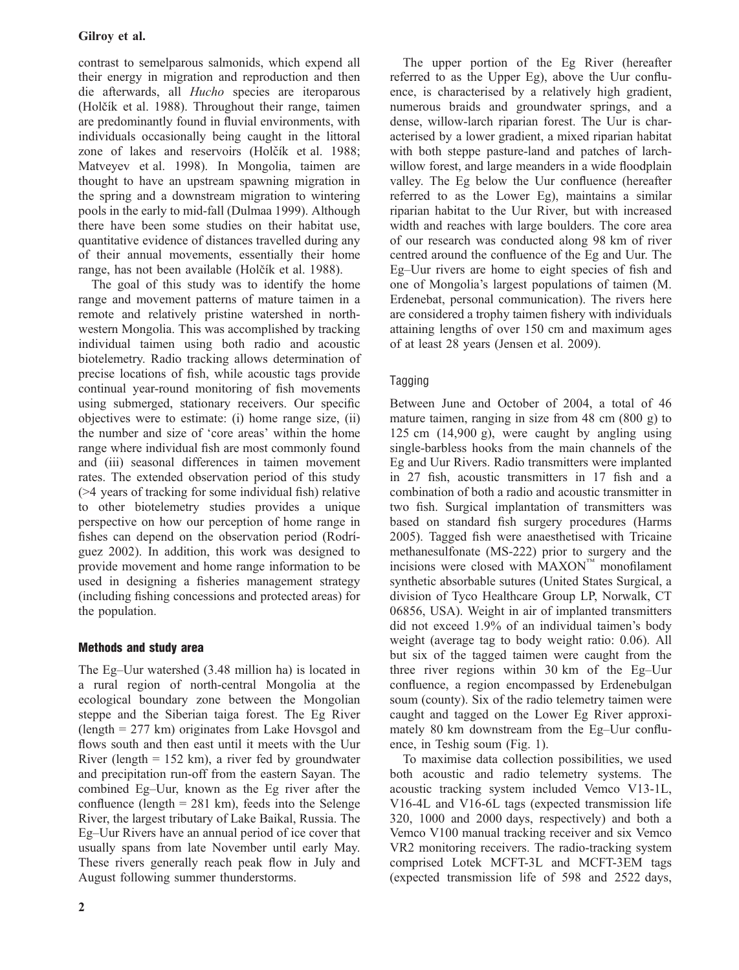# Gilroy et al.

contrast to semelparous salmonids, which expend all their energy in migration and reproduction and then die afterwards, all Hucho species are iteroparous (Holčík et al. 1988). Throughout their range, taimen are predominantly found in fluvial environments, with individuals occasionally being caught in the littoral zone of lakes and reservoirs (Holčík et al. 1988; Matveyev et al. 1998). In Mongolia, taimen are thought to have an upstream spawning migration in the spring and a downstream migration to wintering pools in the early to mid-fall (Dulmaa 1999). Although there have been some studies on their habitat use, quantitative evidence of distances travelled during any of their annual movements, essentially their home range, has not been available (Holčík et al. 1988).

The goal of this study was to identify the home range and movement patterns of mature taimen in a remote and relatively pristine watershed in northwestern Mongolia. This was accomplished by tracking individual taimen using both radio and acoustic biotelemetry. Radio tracking allows determination of precise locations of fish, while acoustic tags provide continual year-round monitoring of fish movements using submerged, stationary receivers. Our specific objectives were to estimate: (i) home range size, (ii) the number and size of 'core areas' within the home range where individual fish are most commonly found and (iii) seasonal differences in taimen movement rates. The extended observation period of this study (>4 years of tracking for some individual fish) relative to other biotelemetry studies provides a unique perspective on how our perception of home range in fishes can depend on the observation period (Rodríguez 2002). In addition, this work was designed to provide movement and home range information to be used in designing a fisheries management strategy (including fishing concessions and protected areas) for the population.

# Methods and study area

The Eg–Uur watershed (3.48 million ha) is located in a rural region of north-central Mongolia at the ecological boundary zone between the Mongolian steppe and the Siberian taiga forest. The Eg River (length = 277 km) originates from Lake Hovsgol and flows south and then east until it meets with the Uur River (length  $= 152$  km), a river fed by groundwater and precipitation run-off from the eastern Sayan. The combined Eg–Uur, known as the Eg river after the confluence (length  $= 281$  km), feeds into the Selenge River, the largest tributary of Lake Baikal, Russia. The Eg–Uur Rivers have an annual period of ice cover that usually spans from late November until early May. These rivers generally reach peak flow in July and August following summer thunderstorms.

The upper portion of the Eg River (hereafter referred to as the Upper Eg), above the Uur confluence, is characterised by a relatively high gradient, numerous braids and groundwater springs, and a dense, willow-larch riparian forest. The Uur is characterised by a lower gradient, a mixed riparian habitat with both steppe pasture-land and patches of larchwillow forest, and large meanders in a wide floodplain valley. The Eg below the Uur confluence (hereafter referred to as the Lower Eg), maintains a similar riparian habitat to the Uur River, but with increased width and reaches with large boulders. The core area of our research was conducted along 98 km of river centred around the confluence of the Eg and Uur. The Eg–Uur rivers are home to eight species of fish and one of Mongolia's largest populations of taimen (M. Erdenebat, personal communication). The rivers here are considered a trophy taimen fishery with individuals attaining lengths of over 150 cm and maximum ages of at least 28 years (Jensen et al. 2009).

# Tagging

Between June and October of 2004, a total of 46 mature taimen, ranging in size from 48 cm (800 g) to 125 cm (14,900 g), were caught by angling using single-barbless hooks from the main channels of the Eg and Uur Rivers. Radio transmitters were implanted in 27 fish, acoustic transmitters in 17 fish and a combination of both a radio and acoustic transmitter in two fish. Surgical implantation of transmitters was based on standard fish surgery procedures (Harms 2005). Tagged fish were anaesthetised with Tricaine methanesulfonate (MS-222) prior to surgery and the incisions were closed with  $MAXON<sup>m</sup>$  monofilament synthetic absorbable sutures (United States Surgical, a division of Tyco Healthcare Group LP, Norwalk, CT 06856, USA). Weight in air of implanted transmitters did not exceed 1.9% of an individual taimen's body weight (average tag to body weight ratio: 0.06). All but six of the tagged taimen were caught from the three river regions within 30 km of the Eg–Uur confluence, a region encompassed by Erdenebulgan soum (county). Six of the radio telemetry taimen were caught and tagged on the Lower Eg River approximately 80 km downstream from the Eg–Uur confluence, in Teshig soum (Fig. 1).

To maximise data collection possibilities, we used both acoustic and radio telemetry systems. The acoustic tracking system included Vemco V13-1L, V16-4L and V16-6L tags (expected transmission life 320, 1000 and 2000 days, respectively) and both a Vemco V100 manual tracking receiver and six Vemco VR2 monitoring receivers. The radio-tracking system comprised Lotek MCFT-3L and MCFT-3EM tags (expected transmission life of 598 and 2522 days,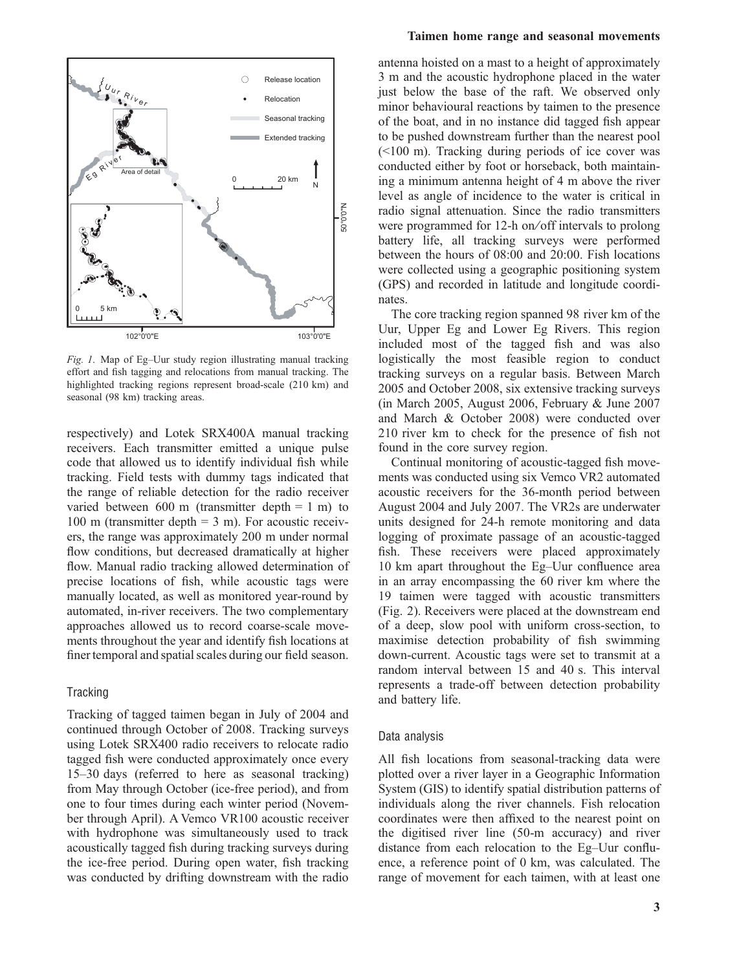

Fig. 1. Map of Eg–Uur study region illustrating manual tracking effort and fish tagging and relocations from manual tracking. The highlighted tracking regions represent broad-scale (210 km) and seasonal (98 km) tracking areas.

respectively) and Lotek SRX400A manual tracking receivers. Each transmitter emitted a unique pulse code that allowed us to identify individual fish while tracking. Field tests with dummy tags indicated that the range of reliable detection for the radio receiver varied between 600 m (transmitter depth  $= 1$  m) to 100 m (transmitter depth  $= 3$  m). For acoustic receivers, the range was approximately 200 m under normal flow conditions, but decreased dramatically at higher flow. Manual radio tracking allowed determination of precise locations of fish, while acoustic tags were manually located, as well as monitored year-round by automated, in-river receivers. The two complementary approaches allowed us to record coarse-scale movements throughout the year and identify fish locations at finer temporal and spatial scales during our field season.

## **Tracking**

Tracking of tagged taimen began in July of 2004 and continued through October of 2008. Tracking surveys using Lotek SRX400 radio receivers to relocate radio tagged fish were conducted approximately once every 15–30 days (referred to here as seasonal tracking) from May through October (ice-free period), and from one to four times during each winter period (November through April). A Vemco VR100 acoustic receiver with hydrophone was simultaneously used to track acoustically tagged fish during tracking surveys during the ice-free period. During open water, fish tracking was conducted by drifting downstream with the radio

### Taimen home range and seasonal movements

antenna hoisted on a mast to a height of approximately 3 m and the acoustic hydrophone placed in the water just below the base of the raft. We observed only minor behavioural reactions by taimen to the presence of the boat, and in no instance did tagged fish appear to be pushed downstream further than the nearest pool (<100 m). Tracking during periods of ice cover was conducted either by foot or horseback, both maintaining a minimum antenna height of 4 m above the river level as angle of incidence to the water is critical in radio signal attenuation. Since the radio transmitters were programmed for 12-h on/off intervals to prolong battery life, all tracking surveys were performed between the hours of 08:00 and 20:00. Fish locations were collected using a geographic positioning system (GPS) and recorded in latitude and longitude coordinates.

The core tracking region spanned 98 river km of the Uur, Upper Eg and Lower Eg Rivers. This region included most of the tagged fish and was also logistically the most feasible region to conduct tracking surveys on a regular basis. Between March 2005 and October 2008, six extensive tracking surveys (in March 2005, August 2006, February & June 2007 and March & October 2008) were conducted over 210 river km to check for the presence of fish not found in the core survey region.

Continual monitoring of acoustic-tagged fish movements was conducted using six Vemco VR2 automated acoustic receivers for the 36-month period between August 2004 and July 2007. The VR2s are underwater units designed for 24-h remote monitoring and data logging of proximate passage of an acoustic-tagged fish. These receivers were placed approximately 10 km apart throughout the Eg–Uur confluence area in an array encompassing the 60 river km where the 19 taimen were tagged with acoustic transmitters (Fig. 2). Receivers were placed at the downstream end of a deep, slow pool with uniform cross-section, to maximise detection probability of fish swimming down-current. Acoustic tags were set to transmit at a random interval between 15 and 40 s. This interval represents a trade-off between detection probability and battery life.

#### Data analysis

All fish locations from seasonal-tracking data were plotted over a river layer in a Geographic Information System (GIS) to identify spatial distribution patterns of individuals along the river channels. Fish relocation coordinates were then affixed to the nearest point on the digitised river line (50-m accuracy) and river distance from each relocation to the Eg–Uur confluence, a reference point of 0 km, was calculated. The range of movement for each taimen, with at least one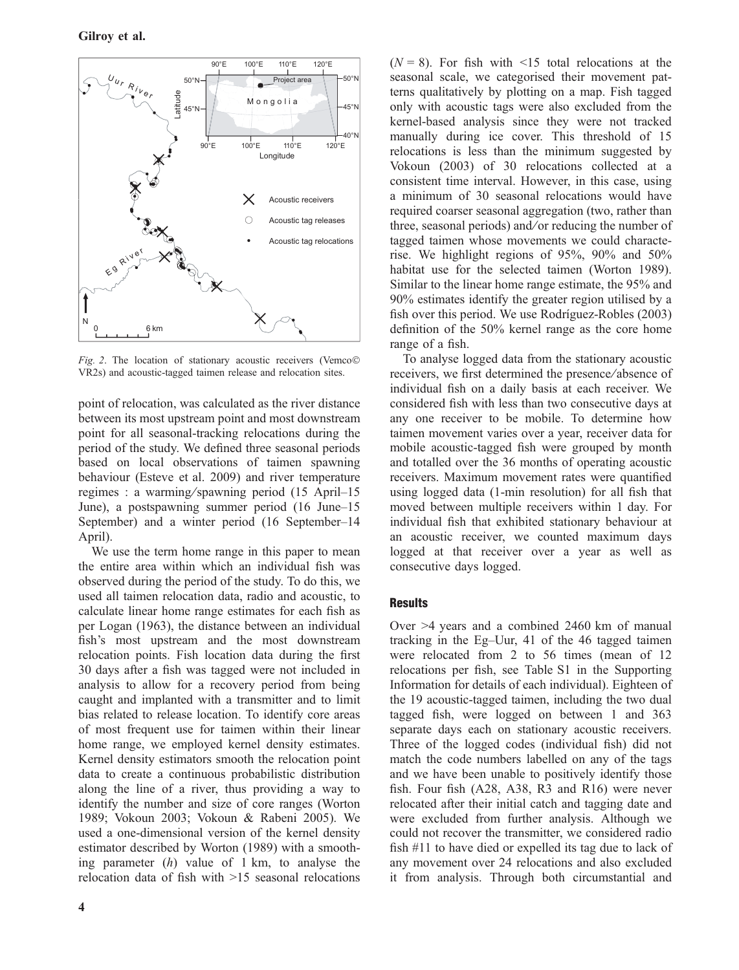

Fig. 2. The location of stationary acoustic receivers (Vemco $\odot$ VR2s) and acoustic-tagged taimen release and relocation sites.

point of relocation, was calculated as the river distance between its most upstream point and most downstream point for all seasonal-tracking relocations during the period of the study. We defined three seasonal periods based on local observations of taimen spawning behaviour (Esteve et al. 2009) and river temperature regimes : a warming/spawning period  $(15$  April–15 June), a postspawning summer period (16 June–15 September) and a winter period (16 September–14 April).

We use the term home range in this paper to mean the entire area within which an individual fish was observed during the period of the study. To do this, we used all taimen relocation data, radio and acoustic, to calculate linear home range estimates for each fish as per Logan (1963), the distance between an individual fish's most upstream and the most downstream relocation points. Fish location data during the first 30 days after a fish was tagged were not included in analysis to allow for a recovery period from being caught and implanted with a transmitter and to limit bias related to release location. To identify core areas of most frequent use for taimen within their linear home range, we employed kernel density estimates. Kernel density estimators smooth the relocation point data to create a continuous probabilistic distribution along the line of a river, thus providing a way to identify the number and size of core ranges (Worton 1989; Vokoun 2003; Vokoun & Rabeni 2005). We used a one-dimensional version of the kernel density estimator described by Worton (1989) with a smoothing parameter  $(h)$  value of 1 km, to analyse the relocation data of fish with >15 seasonal relocations  $(N = 8)$ . For fish with  $\leq 15$  total relocations at the seasonal scale, we categorised their movement patterns qualitatively by plotting on a map. Fish tagged only with acoustic tags were also excluded from the kernel-based analysis since they were not tracked manually during ice cover. This threshold of 15 relocations is less than the minimum suggested by Vokoun (2003) of 30 relocations collected at a consistent time interval. However, in this case, using a minimum of 30 seasonal relocations would have required coarser seasonal aggregation (two, rather than three, seasonal periods) and/or reducing the number of tagged taimen whose movements we could characterise. We highlight regions of 95%, 90% and 50% habitat use for the selected taimen (Worton 1989). Similar to the linear home range estimate, the 95% and 90% estimates identify the greater region utilised by a fish over this period. We use Rodríguez-Robles (2003) definition of the 50% kernel range as the core home range of a fish.

To analyse logged data from the stationary acoustic receivers, we first determined the presence ⁄ absence of individual fish on a daily basis at each receiver. We considered fish with less than two consecutive days at any one receiver to be mobile. To determine how taimen movement varies over a year, receiver data for mobile acoustic-tagged fish were grouped by month and totalled over the 36 months of operating acoustic receivers. Maximum movement rates were quantified using logged data (1-min resolution) for all fish that moved between multiple receivers within 1 day. For individual fish that exhibited stationary behaviour at an acoustic receiver, we counted maximum days logged at that receiver over a year as well as consecutive days logged.

## **Results**

Over >4 years and a combined 2460 km of manual tracking in the Eg–Uur, 41 of the 46 tagged taimen were relocated from 2 to 56 times (mean of 12 relocations per fish, see Table S1 in the Supporting Information for details of each individual). Eighteen of the 19 acoustic-tagged taimen, including the two dual tagged fish, were logged on between 1 and 363 separate days each on stationary acoustic receivers. Three of the logged codes (individual fish) did not match the code numbers labelled on any of the tags and we have been unable to positively identify those fish. Four fish (A28, A38, R3 and R16) were never relocated after their initial catch and tagging date and were excluded from further analysis. Although we could not recover the transmitter, we considered radio fish #11 to have died or expelled its tag due to lack of any movement over 24 relocations and also excluded it from analysis. Through both circumstantial and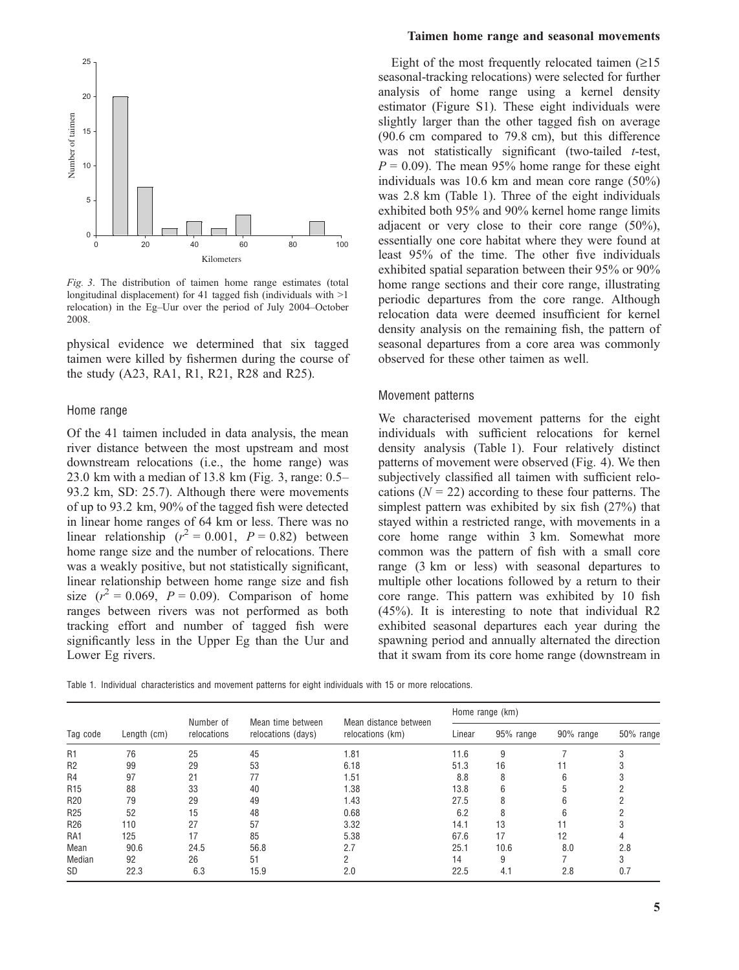

Fig. 3. The distribution of taimen home range estimates (total longitudinal displacement) for 41 tagged fish (individuals with >1 relocation) in the Eg–Uur over the period of July 2004–October 2008.

physical evidence we determined that six tagged taimen were killed by fishermen during the course of the study (A23, RA1, R1, R21, R28 and R25).

## Home range

Of the 41 taimen included in data analysis, the mean river distance between the most upstream and most downstream relocations (i.e., the home range) was 23.0 km with a median of 13.8 km (Fig. 3, range: 0.5– 93.2 km, SD: 25.7). Although there were movements of up to 93.2 km, 90% of the tagged fish were detected in linear home ranges of 64 km or less. There was no linear relationship  $(r^2 = 0.001, P = 0.82)$  between home range size and the number of relocations. There was a weakly positive, but not statistically significant, linear relationship between home range size and fish size  $(r^2 = 0.069, P = 0.09)$ . Comparison of home ranges between rivers was not performed as both tracking effort and number of tagged fish were significantly less in the Upper Eg than the Uur and Lower Eg rivers.

#### Taimen home range and seasonal movements

Eight of the most frequently relocated taimen  $(215$ seasonal-tracking relocations) were selected for further analysis of home range using a kernel density estimator (Figure S1). These eight individuals were slightly larger than the other tagged fish on average (90.6 cm compared to 79.8 cm), but this difference was not statistically significant (two-tailed *t*-test,  $P = 0.09$ ). The mean 95% home range for these eight individuals was 10.6 km and mean core range (50%) was 2.8 km (Table 1). Three of the eight individuals exhibited both 95% and 90% kernel home range limits adjacent or very close to their core range  $(50\%)$ , essentially one core habitat where they were found at least 95% of the time. The other five individuals exhibited spatial separation between their 95% or 90% home range sections and their core range, illustrating periodic departures from the core range. Although relocation data were deemed insufficient for kernel density analysis on the remaining fish, the pattern of seasonal departures from a core area was commonly observed for these other taimen as well.

#### Movement patterns

We characterised movement patterns for the eight individuals with sufficient relocations for kernel density analysis (Table 1). Four relatively distinct patterns of movement were observed (Fig. 4). We then subjectively classified all taimen with sufficient relocations ( $N = 22$ ) according to these four patterns. The simplest pattern was exhibited by six fish (27%) that stayed within a restricted range, with movements in a core home range within 3 km. Somewhat more common was the pattern of fish with a small core range (3 km or less) with seasonal departures to multiple other locations followed by a return to their core range. This pattern was exhibited by 10 fish (45%). It is interesting to note that individual R2 exhibited seasonal departures each year during the spawning period and annually alternated the direction that it swam from its core home range (downstream in

Table 1. Individual characteristics and movement patterns for eight individuals with 15 or more relocations.

| Tag code        | Length (cm) | Number of<br>relocations | Mean time between<br>relocations (days) | Mean distance between<br>relocations (km) | Home range (km) |           |           |           |
|-----------------|-------------|--------------------------|-----------------------------------------|-------------------------------------------|-----------------|-----------|-----------|-----------|
|                 |             |                          |                                         |                                           | Linear          | 95% range | 90% range | 50% range |
| R <sub>1</sub>  | 76          | 25                       | 45                                      | 1.81                                      | 11.6            | 9         |           |           |
| R <sub>2</sub>  | 99          | 29                       | 53                                      | 6.18                                      | 51.3            | 16        |           |           |
| R <sub>4</sub>  | 97          | 21                       | 77                                      | 1.51                                      | 8.8             | 8         | հ         |           |
| R <sub>15</sub> | 88          | 33                       | 40                                      | 1.38                                      | 13.8            | 6         |           |           |
| R <sub>20</sub> | 79          | 29                       | 49                                      | 1.43                                      | 27.5            | 8         |           |           |
| R <sub>25</sub> | 52          | 15                       | 48                                      | 0.68                                      | 6.2             | 8         |           |           |
| R <sub>26</sub> | 110         | 27                       | 57                                      | 3.32                                      | 14.1            | 13        |           |           |
| RA1             | 125         | 17                       | 85                                      | 5.38                                      | 67.6            | 17        | 12        |           |
| Mean            | 90.6        | 24.5                     | 56.8                                    | 2.7                                       | 25.1            | 10.6      | 8.0       | 2.8       |
| Median          | 92          | 26                       | 51                                      |                                           | 14              | 9         |           | 3         |
| SD              | 22.3        | 6.3                      | 15.9                                    | 2.0                                       | 22.5            | 4.1       | 2.8       | 0.7       |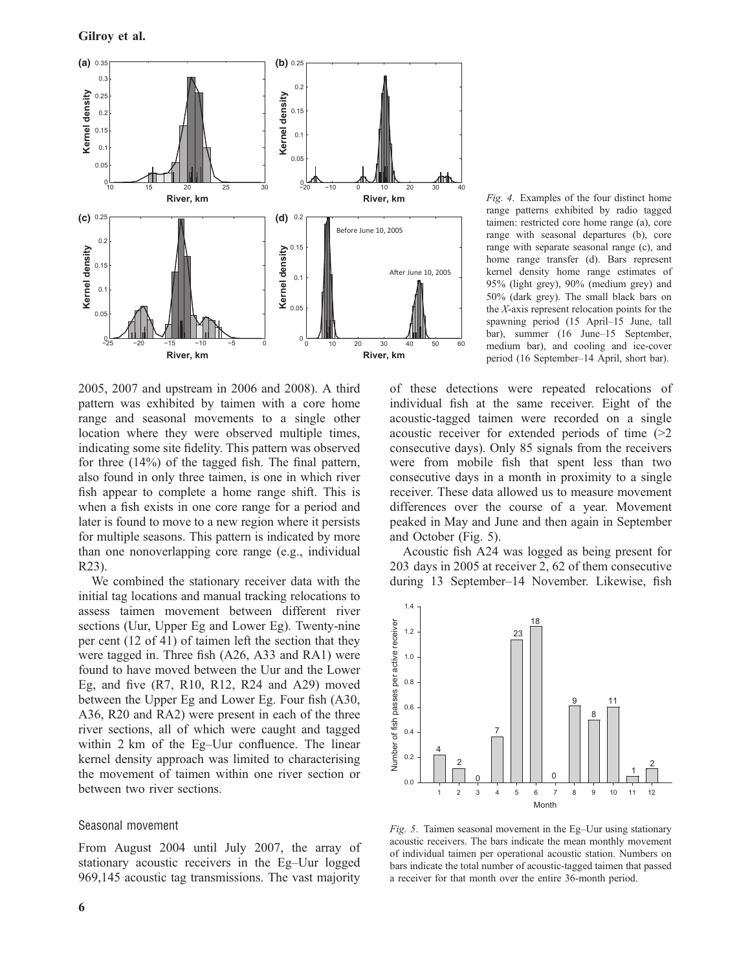Gilroy et al.



2005, 2007 and upstream in 2006 and 2008). A third pattern was exhibited by taimen with a core home range and seasonal movements to a single other location where they were observed multiple times, indicating some site fidelity. This pattern was observed for three (14%) of the tagged fish. The final pattern, also found in only three taimen, is one in which river fish appear to complete a home range shift. This is when a fish exists in one core range for a period and later is found to move to a new region where it persists for multiple seasons. This pattern is indicated by more than one nonoverlapping core range (e.g., individual R23).

We combined the stationary receiver data with the initial tag locations and manual tracking relocations to assess taimen movement between different river sections (Uur, Upper Eg and Lower Eg). Twenty-nine per cent (12 of 41) of taimen left the section that they were tagged in. Three fish (A26, A33 and RA1) were found to have moved between the Uur and the Lower Eg, and five (R7, R10, R12, R24 and A29) moved between the Upper Eg and Lower Eg. Four fish (A30, A36, R20 and RA2) were present in each of the three river sections, all of which were caught and tagged within 2 km of the Eg–Uur confluence. The linear kernel density approach was limited to characterising the movement of taimen within one river section or between two river sections.

#### Seasonal movement

From August 2004 until July 2007, the array of stationary acoustic receivers in the Eg–Uur logged 969,145 acoustic tag transmissions. The vast majority Fig. 4. Examples of the four distinct home range patterns exhibited by radio tagged taimen: restricted core home range (a), core range with seasonal departures (b), core range with separate seasonal range (c), and home range transfer (d). Bars represent kernel density home range estimates of 95% (light grey), 90% (medium grey) and 50% (dark grey). The small black bars on the X-axis represent relocation points for the spawning period (15 April–15 June, tall bar), summer (16 June–15 September, medium bar), and cooling and ice-cover period (16 September–14 April, short bar).

of these detections were repeated relocations of individual fish at the same receiver. Eight of the acoustic-tagged taimen were recorded on a single acoustic receiver for extended periods of time  $(>= 2$ consecutive days). Only 85 signals from the receivers were from mobile fish that spent less than two consecutive days in a month in proximity to a single receiver. These data allowed us to measure movement differences over the course of a year. Movement peaked in May and June and then again in September and October (Fig. 5).

Acoustic fish A24 was logged as being present for 203 days in 2005 at receiver 2, 62 of them consecutive during 13 September–14 November. Likewise, fish



Fig. 5. Taimen seasonal movement in the Eg–Uur using stationary acoustic receivers. The bars indicate the mean monthly movement of individual taimen per operational acoustic station. Numbers on bars indicate the total number of acoustic-tagged taimen that passed a receiver for that month over the entire 36-month period.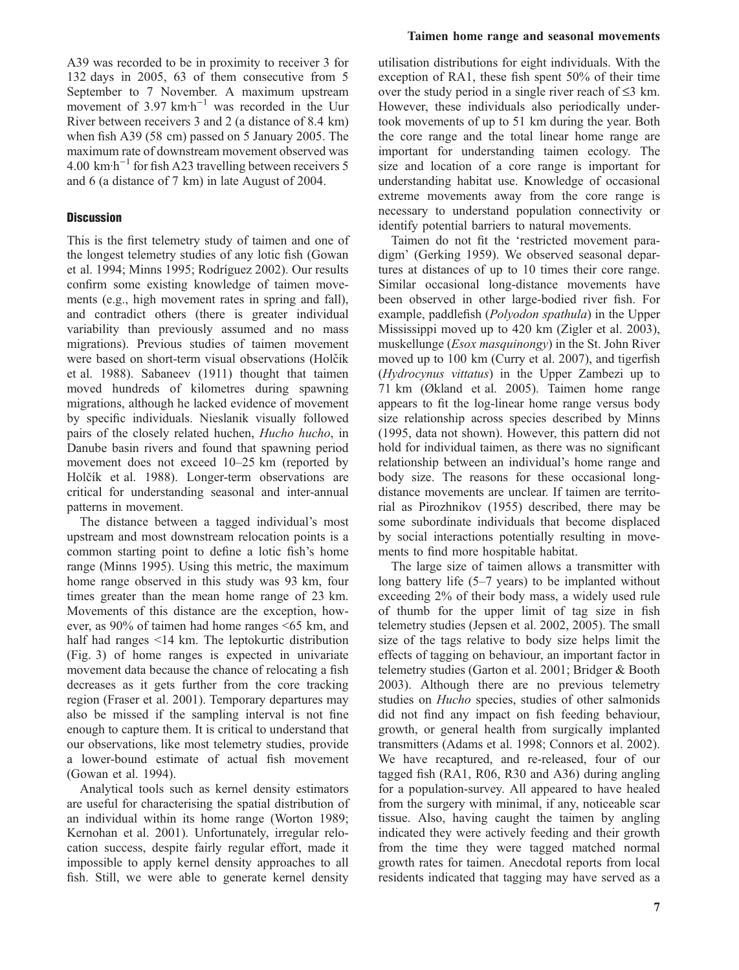A39 was recorded to be in proximity to receiver 3 for 132 days in 2005, 63 of them consecutive from 5 September to 7 November. A maximum upstream movement of  $3.97 \text{ km} \cdot \text{h}^{-1}$  was recorded in the Uur River between receivers 3 and 2 (a distance of 8.4 km) when fish A39 (58 cm) passed on 5 January 2005. The maximum rate of downstream movement observed was 4.00 km $h^{-1}$  for fish A23 travelling between receivers 5 and 6 (a distance of 7 km) in late August of 2004.

## **Discussion**

This is the first telemetry study of taimen and one of the longest telemetry studies of any lotic fish (Gowan et al. 1994; Minns 1995; Rodríguez 2002). Our results confirm some existing knowledge of taimen movements (e.g., high movement rates in spring and fall), and contradict others (there is greater individual variability than previously assumed and no mass migrations). Previous studies of taimen movement were based on short-term visual observations (Holčík et al. 1988). Sabaneev (1911) thought that taimen moved hundreds of kilometres during spawning migrations, although he lacked evidence of movement by specific individuals. Nieslanik visually followed pairs of the closely related huchen, Hucho hucho, in Danube basin rivers and found that spawning period movement does not exceed 10–25 km (reported by Holčík et al. 1988). Longer-term observations are critical for understanding seasonal and inter-annual patterns in movement.

The distance between a tagged individual's most upstream and most downstream relocation points is a common starting point to define a lotic fish's home range (Minns 1995). Using this metric, the maximum home range observed in this study was 93 km, four times greater than the mean home range of 23 km. Movements of this distance are the exception, however, as 90% of taimen had home ranges <65 km, and half had ranges <14 km. The leptokurtic distribution (Fig. 3) of home ranges is expected in univariate movement data because the chance of relocating a fish decreases as it gets further from the core tracking region (Fraser et al. 2001). Temporary departures may also be missed if the sampling interval is not fine enough to capture them. It is critical to understand that our observations, like most telemetry studies, provide a lower-bound estimate of actual fish movement (Gowan et al. 1994).

Analytical tools such as kernel density estimators are useful for characterising the spatial distribution of an individual within its home range (Worton 1989; Kernohan et al. 2001). Unfortunately, irregular relocation success, despite fairly regular effort, made it impossible to apply kernel density approaches to all fish. Still, we were able to generate kernel density utilisation distributions for eight individuals. With the exception of RA1, these fish spent 50% of their time over the study period in a single river reach of  $\leq 3$  km. However, these individuals also periodically undertook movements of up to 51 km during the year. Both the core range and the total linear home range are important for understanding taimen ecology. The size and location of a core range is important for understanding habitat use. Knowledge of occasional extreme movements away from the core range is necessary to understand population connectivity or identify potential barriers to natural movements.

Taimen do not fit the 'restricted movement paradigm' (Gerking 1959). We observed seasonal departures at distances of up to 10 times their core range. Similar occasional long-distance movements have been observed in other large-bodied river fish. For example, paddlefish (Polyodon spathula) in the Upper Mississippi moved up to 420 km (Zigler et al. 2003), muskellunge (Esox masquinongy) in the St. John River moved up to 100 km (Curry et al. 2007), and tigerfish (Hydrocynus vittatus) in the Upper Zambezi up to 71 km (Økland et al. 2005). Taimen home range appears to fit the log-linear home range versus body size relationship across species described by Minns (1995, data not shown). However, this pattern did not hold for individual taimen, as there was no significant relationship between an individual's home range and body size. The reasons for these occasional longdistance movements are unclear. If taimen are territorial as Pirozhnikov (1955) described, there may be some subordinate individuals that become displaced by social interactions potentially resulting in movements to find more hospitable habitat.

The large size of taimen allows a transmitter with long battery life (5–7 years) to be implanted without exceeding 2% of their body mass, a widely used rule of thumb for the upper limit of tag size in fish telemetry studies (Jepsen et al. 2002, 2005). The small size of the tags relative to body size helps limit the effects of tagging on behaviour, an important factor in telemetry studies (Garton et al. 2001; Bridger & Booth 2003). Although there are no previous telemetry studies on Hucho species, studies of other salmonids did not find any impact on fish feeding behaviour, growth, or general health from surgically implanted transmitters (Adams et al. 1998; Connors et al. 2002). We have recaptured, and re-released, four of our tagged fish (RA1, R06, R30 and A36) during angling for a population-survey. All appeared to have healed from the surgery with minimal, if any, noticeable scar tissue. Also, having caught the taimen by angling indicated they were actively feeding and their growth from the time they were tagged matched normal growth rates for taimen. Anecdotal reports from local residents indicated that tagging may have served as a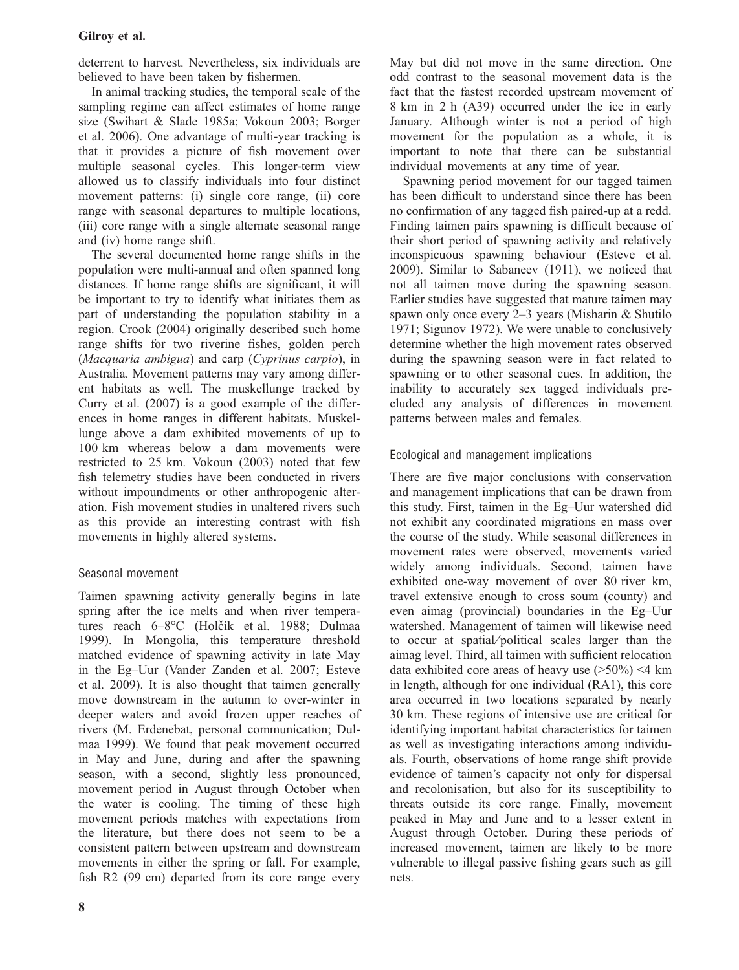# Gilroy et al.

deterrent to harvest. Nevertheless, six individuals are believed to have been taken by fishermen.

In animal tracking studies, the temporal scale of the sampling regime can affect estimates of home range size (Swihart & Slade 1985a; Vokoun 2003; Borger et al. 2006). One advantage of multi-year tracking is that it provides a picture of fish movement over multiple seasonal cycles. This longer-term view allowed us to classify individuals into four distinct movement patterns: (i) single core range, (ii) core range with seasonal departures to multiple locations, (iii) core range with a single alternate seasonal range and (iv) home range shift.

The several documented home range shifts in the population were multi-annual and often spanned long distances. If home range shifts are significant, it will be important to try to identify what initiates them as part of understanding the population stability in a region. Crook (2004) originally described such home range shifts for two riverine fishes, golden perch (Macquaria ambigua) and carp (Cyprinus carpio), in Australia. Movement patterns may vary among different habitats as well. The muskellunge tracked by Curry et al. (2007) is a good example of the differences in home ranges in different habitats. Muskellunge above a dam exhibited movements of up to 100 km whereas below a dam movements were restricted to 25 km. Vokoun (2003) noted that few fish telemetry studies have been conducted in rivers without impoundments or other anthropogenic alteration. Fish movement studies in unaltered rivers such as this provide an interesting contrast with fish movements in highly altered systems.

# Seasonal movement

Taimen spawning activity generally begins in late spring after the ice melts and when river temperatures reach 6–8°C (Holčík et al. 1988; Dulmaa 1999). In Mongolia, this temperature threshold matched evidence of spawning activity in late May in the Eg–Uur (Vander Zanden et al. 2007; Esteve et al. 2009). It is also thought that taimen generally move downstream in the autumn to over-winter in deeper waters and avoid frozen upper reaches of rivers (M. Erdenebat, personal communication; Dulmaa 1999). We found that peak movement occurred in May and June, during and after the spawning season, with a second, slightly less pronounced, movement period in August through October when the water is cooling. The timing of these high movement periods matches with expectations from the literature, but there does not seem to be a consistent pattern between upstream and downstream movements in either the spring or fall. For example, fish R2 (99 cm) departed from its core range every May but did not move in the same direction. One odd contrast to the seasonal movement data is the fact that the fastest recorded upstream movement of 8 km in 2 h (A39) occurred under the ice in early January. Although winter is not a period of high movement for the population as a whole, it is important to note that there can be substantial individual movements at any time of year.

Spawning period movement for our tagged taimen has been difficult to understand since there has been no confirmation of any tagged fish paired-up at a redd. Finding taimen pairs spawning is difficult because of their short period of spawning activity and relatively inconspicuous spawning behaviour (Esteve et al. 2009). Similar to Sabaneev (1911), we noticed that not all taimen move during the spawning season. Earlier studies have suggested that mature taimen may spawn only once every 2–3 years (Misharin & Shutilo 1971; Sigunov 1972). We were unable to conclusively determine whether the high movement rates observed during the spawning season were in fact related to spawning or to other seasonal cues. In addition, the inability to accurately sex tagged individuals precluded any analysis of differences in movement patterns between males and females.

# Ecological and management implications

There are five major conclusions with conservation and management implications that can be drawn from this study. First, taimen in the Eg–Uur watershed did not exhibit any coordinated migrations en mass over the course of the study. While seasonal differences in movement rates were observed, movements varied widely among individuals. Second, taimen have exhibited one-way movement of over 80 river km, travel extensive enough to cross soum (county) and even aimag (provincial) boundaries in the Eg–Uur watershed. Management of taimen will likewise need to occur at spatial/political scales larger than the aimag level. Third, all taimen with sufficient relocation data exhibited core areas of heavy use  $($ >50%) <4 km in length, although for one individual (RA1), this core area occurred in two locations separated by nearly 30 km. These regions of intensive use are critical for identifying important habitat characteristics for taimen as well as investigating interactions among individuals. Fourth, observations of home range shift provide evidence of taimen's capacity not only for dispersal and recolonisation, but also for its susceptibility to threats outside its core range. Finally, movement peaked in May and June and to a lesser extent in August through October. During these periods of increased movement, taimen are likely to be more vulnerable to illegal passive fishing gears such as gill nets.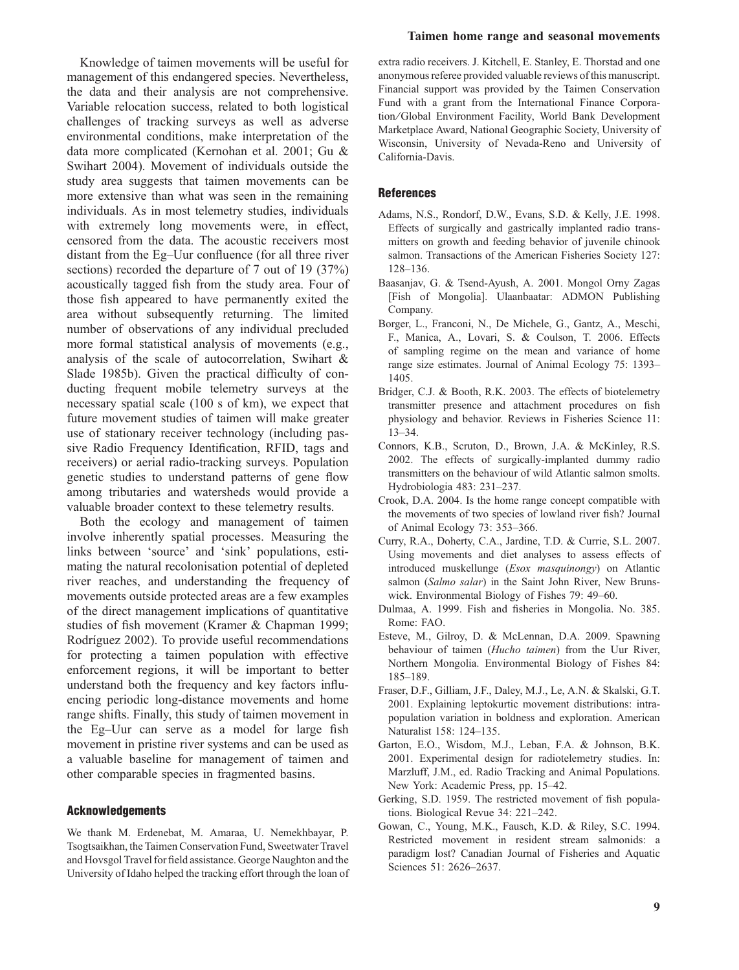Knowledge of taimen movements will be useful for management of this endangered species. Nevertheless, the data and their analysis are not comprehensive. Variable relocation success, related to both logistical challenges of tracking surveys as well as adverse environmental conditions, make interpretation of the data more complicated (Kernohan et al. 2001; Gu & Swihart 2004). Movement of individuals outside the study area suggests that taimen movements can be more extensive than what was seen in the remaining individuals. As in most telemetry studies, individuals with extremely long movements were, in effect, censored from the data. The acoustic receivers most distant from the Eg–Uur confluence (for all three river sections) recorded the departure of 7 out of 19 (37%) acoustically tagged fish from the study area. Four of those fish appeared to have permanently exited the area without subsequently returning. The limited number of observations of any individual precluded more formal statistical analysis of movements (e.g., analysis of the scale of autocorrelation, Swihart & Slade 1985b). Given the practical difficulty of conducting frequent mobile telemetry surveys at the necessary spatial scale (100 s of km), we expect that future movement studies of taimen will make greater use of stationary receiver technology (including passive Radio Frequency Identification, RFID, tags and receivers) or aerial radio-tracking surveys. Population genetic studies to understand patterns of gene flow among tributaries and watersheds would provide a valuable broader context to these telemetry results.

Both the ecology and management of taimen involve inherently spatial processes. Measuring the links between 'source' and 'sink' populations, estimating the natural recolonisation potential of depleted river reaches, and understanding the frequency of movements outside protected areas are a few examples of the direct management implications of quantitative studies of fish movement (Kramer & Chapman 1999; Rodríguez 2002). To provide useful recommendations for protecting a taimen population with effective enforcement regions, it will be important to better understand both the frequency and key factors influencing periodic long-distance movements and home range shifts. Finally, this study of taimen movement in the Eg–Uur can serve as a model for large fish movement in pristine river systems and can be used as a valuable baseline for management of taimen and other comparable species in fragmented basins.

#### Acknowledgements

We thank M. Erdenebat, M. Amaraa, U. Nemekhbayar, P. Tsogtsaikhan, the Taimen Conservation Fund, Sweetwater Travel and Hovsgol Travel for field assistance. George Naughton and the University of Idaho helped the tracking effort through the loan of

#### Taimen home range and seasonal movements

extra radio receivers. J. Kitchell, E. Stanley, E. Thorstad and one anonymous referee provided valuable reviews of this manuscript. Financial support was provided by the Taimen Conservation Fund with a grant from the International Finance Corporation ⁄ Global Environment Facility, World Bank Development Marketplace Award, National Geographic Society, University of Wisconsin, University of Nevada-Reno and University of California-Davis.

#### **References**

- Adams, N.S., Rondorf, D.W., Evans, S.D. & Kelly, J.E. 1998. Effects of surgically and gastrically implanted radio transmitters on growth and feeding behavior of juvenile chinook salmon. Transactions of the American Fisheries Society 127: 128–136.
- Baasanjav, G. & Tsend-Ayush, A. 2001. Mongol Orny Zagas [Fish of Mongolia]. Ulaanbaatar: ADMON Publishing Company.
- Borger, L., Franconi, N., De Michele, G., Gantz, A., Meschi, F., Manica, A., Lovari, S. & Coulson, T. 2006. Effects of sampling regime on the mean and variance of home range size estimates. Journal of Animal Ecology 75: 1393– 1405.
- Bridger, C.J. & Booth, R.K. 2003. The effects of biotelemetry transmitter presence and attachment procedures on fish physiology and behavior. Reviews in Fisheries Science 11: 13–34.
- Connors, K.B., Scruton, D., Brown, J.A. & McKinley, R.S. 2002. The effects of surgically-implanted dummy radio transmitters on the behaviour of wild Atlantic salmon smolts. Hydrobiologia 483: 231–237.
- Crook, D.A. 2004. Is the home range concept compatible with the movements of two species of lowland river fish? Journal of Animal Ecology 73: 353–366.
- Curry, R.A., Doherty, C.A., Jardine, T.D. & Currie, S.L. 2007. Using movements and diet analyses to assess effects of introduced muskellunge (Esox masquinongy) on Atlantic salmon (Salmo salar) in the Saint John River, New Brunswick. Environmental Biology of Fishes 79: 49–60.
- Dulmaa, A. 1999. Fish and fisheries in Mongolia. No. 385. Rome: FAO.
- Esteve, M., Gilroy, D. & McLennan, D.A. 2009. Spawning behaviour of taimen (Hucho taimen) from the Uur River, Northern Mongolia. Environmental Biology of Fishes 84: 185–189.
- Fraser, D.F., Gilliam, J.F., Daley, M.J., Le, A.N. & Skalski, G.T. 2001. Explaining leptokurtic movement distributions: intrapopulation variation in boldness and exploration. American Naturalist 158: 124–135.
- Garton, E.O., Wisdom, M.J., Leban, F.A. & Johnson, B.K. 2001. Experimental design for radiotelemetry studies. In: Marzluff, J.M., ed. Radio Tracking and Animal Populations. New York: Academic Press, pp. 15–42.
- Gerking, S.D. 1959. The restricted movement of fish populations. Biological Revue 34: 221–242.
- Gowan, C., Young, M.K., Fausch, K.D. & Riley, S.C. 1994. Restricted movement in resident stream salmonids: a paradigm lost? Canadian Journal of Fisheries and Aquatic Sciences 51: 2626–2637.